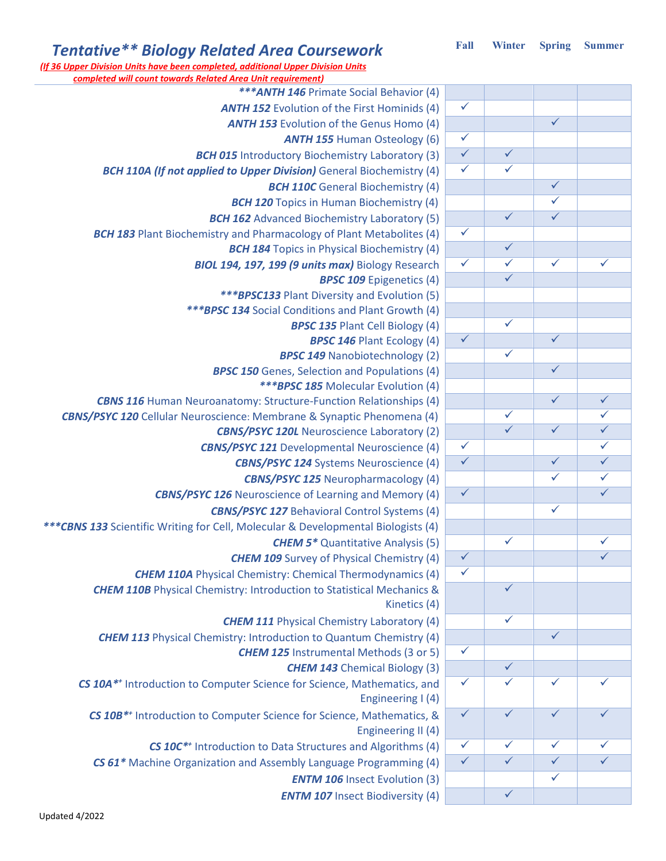| <b>Tentative** Biology Related Area Coursework</b>                                                             | Fall         | Winter       | <b>Spring</b>           | <b>Summer</b>           |
|----------------------------------------------------------------------------------------------------------------|--------------|--------------|-------------------------|-------------------------|
| (If 36 Upper Division Units have been completed, additional Upper Division Units                               |              |              |                         |                         |
| <b>completed will count towards Related Area Unit requirement)</b><br>*** ANTH 146 Primate Social Behavior (4) |              |              |                         |                         |
| <b>ANTH 152 Evolution of the First Hominids (4)</b>                                                            | $\checkmark$ |              |                         |                         |
| <b>ANTH 153 Evolution of the Genus Homo (4)</b>                                                                |              |              | $\checkmark$            |                         |
| <b>ANTH 155 Human Osteology (6)</b>                                                                            | $\checkmark$ |              |                         |                         |
| <b>BCH 015</b> Introductory Biochemistry Laboratory (3)                                                        | $\checkmark$ | $\checkmark$ |                         |                         |
| <b>BCH 110A (If not applied to Upper Division)</b> General Biochemistry (4)                                    | $\checkmark$ | $\checkmark$ |                         |                         |
| <b>BCH 110C</b> General Biochemistry (4)                                                                       |              |              | $\checkmark$            |                         |
| <b>BCH 120</b> Topics in Human Biochemistry (4)                                                                |              |              | $\checkmark$            |                         |
| <b>BCH 162</b> Advanced Biochemistry Laboratory (5)                                                            |              | $\checkmark$ | $\overline{\checkmark}$ |                         |
| <b>BCH 183</b> Plant Biochemistry and Pharmacology of Plant Metabolites (4)                                    | $\checkmark$ |              |                         |                         |
| <b>BCH 184</b> Topics in Physical Biochemistry (4)                                                             |              | $\checkmark$ |                         |                         |
| BIOL 194, 197, 199 (9 units max) Biology Research                                                              | $\checkmark$ | $\checkmark$ | $\checkmark$            | $\checkmark$            |
| <b>BPSC 109 Epigenetics (4)</b>                                                                                |              | $\checkmark$ |                         |                         |
| *** BPSC133 Plant Diversity and Evolution (5)                                                                  |              |              |                         |                         |
| *** BPSC 134 Social Conditions and Plant Growth (4)                                                            |              |              |                         |                         |
| <b>BPSC 135 Plant Cell Biology (4)</b>                                                                         |              | $\checkmark$ |                         |                         |
| <b>BPSC 146 Plant Ecology (4)</b>                                                                              | $\checkmark$ |              | $\overline{\checkmark}$ |                         |
| <b>BPSC 149 Nanobiotechnology (2)</b>                                                                          |              | $\checkmark$ |                         |                         |
| <b>BPSC 150</b> Genes, Selection and Populations (4)                                                           |              |              | $\checkmark$            |                         |
| *** BPSC 185 Molecular Evolution (4)                                                                           |              |              |                         |                         |
| <b>CBNS 116</b> Human Neuroanatomy: Structure-Function Relationships (4)                                       |              |              | $\checkmark$            | $\checkmark$            |
| <b>CBNS/PSYC 120</b> Cellular Neuroscience: Membrane & Synaptic Phenomena (4)                                  |              | $\checkmark$ |                         | $\checkmark$            |
| <b>CBNS/PSYC 120L Neuroscience Laboratory (2)</b>                                                              |              | $\checkmark$ | $\checkmark$            | $\checkmark$            |
| <b>CBNS/PSYC 121</b> Developmental Neuroscience (4)                                                            | $\checkmark$ |              |                         | $\checkmark$            |
| <b>CBNS/PSYC 124</b> Systems Neuroscience (4)                                                                  | $\checkmark$ |              | $\overline{\checkmark}$ | $\overline{\checkmark}$ |
| <b>CBNS/PSYC 125 Neuropharmacology (4)</b>                                                                     |              |              | ✓                       | $\checkmark$            |
| <b>CBNS/PSYC 126</b> Neuroscience of Learning and Memory (4)                                                   | $\checkmark$ |              |                         | $\overline{\checkmark}$ |
| <b>CBNS/PSYC 127 Behavioral Control Systems (4)</b>                                                            |              |              | $\checkmark$            |                         |
| ***CBNS 133 Scientific Writing for Cell, Molecular & Developmental Biologists (4)                              |              |              |                         |                         |
| <b>CHEM 5*</b> Quantitative Analysis (5)                                                                       |              | $\checkmark$ |                         | $\checkmark$            |
| <b>CHEM 109</b> Survey of Physical Chemistry (4)                                                               | $\checkmark$ |              |                         | $\checkmark$            |
| <b>CHEM 110A</b> Physical Chemistry: Chemical Thermodynamics (4)                                               | $\checkmark$ |              |                         |                         |
| <b>CHEM 110B</b> Physical Chemistry: Introduction to Statistical Mechanics &                                   |              | $\checkmark$ |                         |                         |
| Kinetics (4)                                                                                                   |              |              |                         |                         |
| <b>CHEM 111</b> Physical Chemistry Laboratory (4)                                                              |              | $\checkmark$ |                         |                         |
| <b>CHEM 113</b> Physical Chemistry: Introduction to Quantum Chemistry (4)                                      |              |              | $\checkmark$            |                         |
| <b>CHEM 125</b> Instrumental Methods (3 or 5)                                                                  | $\checkmark$ |              |                         |                         |
| <b>CHEM 143</b> Chemical Biology (3)                                                                           |              | $\checkmark$ |                         |                         |
| CS 10A** Introduction to Computer Science for Science, Mathematics, and                                        | $\checkmark$ | $\checkmark$ | $\checkmark$            | $\checkmark$            |
| Engineering I (4)                                                                                              |              |              |                         |                         |
| CS 10B <sup>**</sup> Introduction to Computer Science for Science, Mathematics, &                              | $\checkmark$ | $\checkmark$ | $\overline{\checkmark}$ | $\checkmark$            |
| Engineering II (4)                                                                                             |              |              |                         |                         |
| CS 10C <sup>**</sup> Introduction to Data Structures and Algorithms (4)                                        | $\checkmark$ | $\checkmark$ | $\checkmark$            | $\checkmark$            |
| CS 61* Machine Organization and Assembly Language Programming (4)                                              | $\checkmark$ | $\checkmark$ | $\overline{\checkmark}$ | $\checkmark$            |
| <b>ENTM 106</b> Insect Evolution (3)                                                                           |              |              | $\checkmark$            |                         |
|                                                                                                                |              |              |                         |                         |

**ENTM 107** Insect Biodiversity (4)  $\vert \sqrt{ } \vert$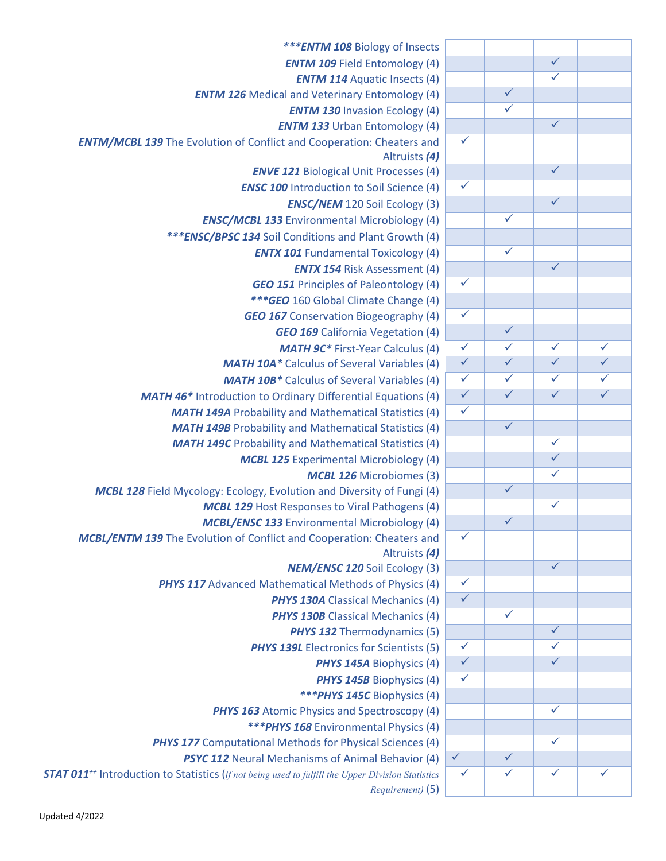| *** <b>ENTM 108</b> Biology of Insects                                                                              |                         |                         |                         |                         |
|---------------------------------------------------------------------------------------------------------------------|-------------------------|-------------------------|-------------------------|-------------------------|
| <b>ENTM 109 Field Entomology (4)</b>                                                                                |                         |                         | $\overline{\checkmark}$ |                         |
| <b>ENTM 114 Aquatic Insects (4)</b>                                                                                 |                         |                         | $\checkmark$            |                         |
| <b>ENTM 126</b> Medical and Veterinary Entomology (4)                                                               |                         | $\overline{\checkmark}$ |                         |                         |
| <b>ENTM 130 Invasion Ecology (4)</b>                                                                                |                         | $\checkmark$            |                         |                         |
| <b>ENTM 133</b> Urban Entomology (4)                                                                                |                         |                         | $\overline{\checkmark}$ |                         |
| <b>ENTM/MCBL 139</b> The Evolution of Conflict and Cooperation: Cheaters and                                        | $\checkmark$            |                         |                         |                         |
| Altruists (4)                                                                                                       |                         |                         |                         |                         |
| <b>ENVE 121 Biological Unit Processes (4)</b>                                                                       |                         |                         | $\checkmark$            |                         |
| <b>ENSC 100</b> Introduction to Soil Science (4)                                                                    | $\checkmark$            |                         |                         |                         |
| <b>ENSC/NEM</b> 120 Soil Ecology (3)                                                                                |                         |                         | $\checkmark$            |                         |
| <b>ENSC/MCBL 133 Environmental Microbiology (4)</b>                                                                 |                         | $\checkmark$            |                         |                         |
| <i>*** ENSC/BPSC 134</i> Soil Conditions and Plant Growth (4)                                                       |                         |                         |                         |                         |
| <b>ENTX 101</b> Fundamental Toxicology (4)                                                                          |                         | $\checkmark$            |                         |                         |
| <b>ENTX 154 Risk Assessment (4)</b>                                                                                 |                         |                         | $\checkmark$            |                         |
| <b>GEO 151 Principles of Paleontology (4)</b>                                                                       | $\checkmark$            |                         |                         |                         |
| *** GEO 160 Global Climate Change (4)                                                                               |                         |                         |                         |                         |
| <b>GEO 167</b> Conservation Biogeography (4)                                                                        | $\checkmark$            |                         |                         |                         |
| <b>GEO 169</b> California Vegetation (4)                                                                            |                         | $\checkmark$            |                         |                         |
| <b>MATH 9C*</b> First-Year Calculus (4)                                                                             | $\checkmark$            | $\overline{\checkmark}$ | $\checkmark$            | $\overline{\checkmark}$ |
| <b>MATH 10A*</b> Calculus of Several Variables (4)                                                                  | $\checkmark$            | $\overline{\checkmark}$ | $\checkmark$            | $\overline{\checkmark}$ |
| <b>MATH 10B*</b> Calculus of Several Variables (4)                                                                  | $\checkmark$            | $\checkmark$            | $\checkmark$            | $\overline{\checkmark}$ |
| <b>MATH 46*</b> Introduction to Ordinary Differential Equations (4)                                                 | $\overline{\checkmark}$ | $\overline{\checkmark}$ | $\checkmark$            | $\overline{\checkmark}$ |
| <b>MATH 149A</b> Probability and Mathematical Statistics (4)                                                        | $\checkmark$            |                         |                         |                         |
| <b>MATH 149B</b> Probability and Mathematical Statistics (4)                                                        |                         | $\checkmark$            |                         |                         |
| <b>MATH 149C</b> Probability and Mathematical Statistics (4)                                                        |                         |                         | $\checkmark$            |                         |
| <b>MCBL 125</b> Experimental Microbiology (4)                                                                       |                         |                         | $\checkmark$            |                         |
| <b>MCBL 126 Microbiomes (3)</b>                                                                                     |                         |                         | $\overline{\checkmark}$ |                         |
| <b>MCBL 128</b> Field Mycology: Ecology, Evolution and Diversity of Fungi (4)                                       |                         | $\checkmark$            |                         |                         |
| <b>MCBL 129 Host Responses to Viral Pathogens (4)</b>                                                               |                         |                         | $\checkmark$            |                         |
|                                                                                                                     |                         | $\overline{\checkmark}$ |                         |                         |
| <b>MCBL/ENSC 133 Environmental Microbiology (4)</b>                                                                 | ✓                       |                         |                         |                         |
| <b>MCBL/ENTM 139</b> The Evolution of Conflict and Cooperation: Cheaters and<br>Altruists (4)                       |                         |                         |                         |                         |
| <b>NEM/ENSC 120 Soil Ecology (3)</b>                                                                                |                         |                         | $\checkmark$            |                         |
| <b>PHYS 117</b> Advanced Mathematical Methods of Physics (4)                                                        | $\checkmark$            |                         |                         |                         |
| <b>PHYS 130A</b> Classical Mechanics (4)                                                                            | $\checkmark$            |                         |                         |                         |
| <b>PHYS 130B</b> Classical Mechanics (4)                                                                            |                         | $\checkmark$            |                         |                         |
|                                                                                                                     |                         |                         | $\checkmark$            |                         |
| <b>PHYS 132 Thermodynamics (5)</b><br><b>PHYS 139L</b> Electronics for Scientists (5)                               | $\checkmark$            |                         | ✓                       |                         |
|                                                                                                                     | $\checkmark$            |                         | $\checkmark$            |                         |
| <b>PHYS 145A Biophysics (4)</b>                                                                                     |                         |                         |                         |                         |
| <b>PHYS 145B</b> Biophysics (4)                                                                                     | $\checkmark$            |                         |                         |                         |
| *** PHYS 145C Biophysics (4)                                                                                        |                         |                         |                         |                         |
| <b>PHYS 163</b> Atomic Physics and Spectroscopy (4)                                                                 |                         |                         | $\checkmark$            |                         |
| *** PHYS 168 Environmental Physics (4)                                                                              |                         |                         |                         |                         |
| <b>PHYS 177</b> Computational Methods for Physical Sciences (4)                                                     |                         |                         | $\checkmark$            |                         |
| <b>PSYC 112 Neural Mechanisms of Animal Behavior (4)</b>                                                            | $\checkmark$            | $\checkmark$            |                         |                         |
| <b>STAT 011<sup>++</sup></b> Introduction to Statistics (if not being used to fulfill the Upper Division Statistics | $\checkmark$            | ✓                       | ✓                       | ✓                       |
| Requirement) (5)                                                                                                    |                         |                         |                         |                         |